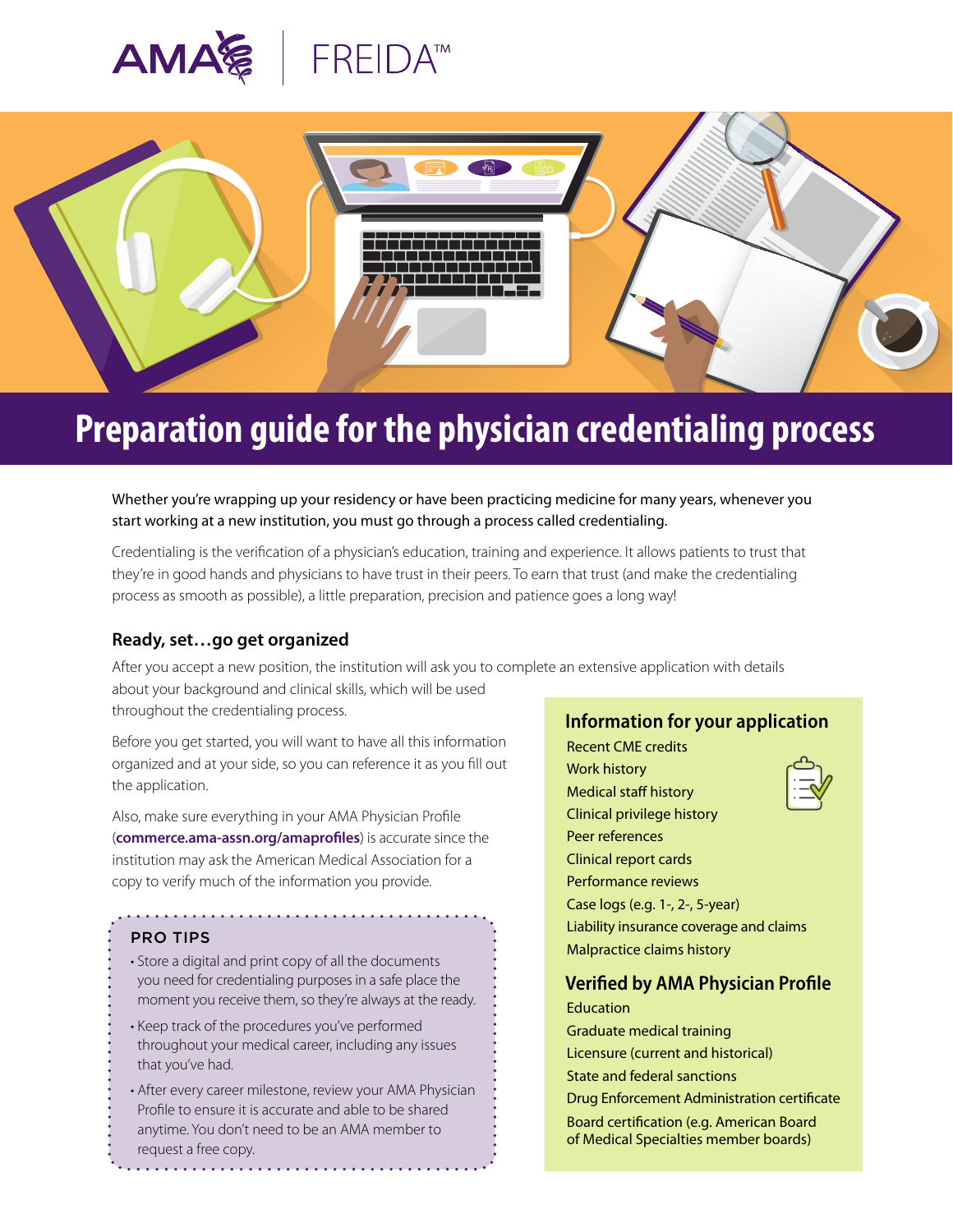



# **Preparation guide for the physician credentialing process**

Whether you're wrapping up your residency or have been practicing medicine for many years, whenever you start working at a new institution, you must go through a process called credentialing.

Credentialing is the verification of a physician's education, training and experience. It allows patients to trust that they're in good hands and physicians to have trust in their peers. To earn that trust (and make the credentialing process as smooth as possible), a little preparation, precision and patience goes a long way!

### **Ready, set…go get organized**

After you accept a new position, the institution will ask you to complete an extensive application with details about your background and clinical skills, which will be used

throughout the credentialing process.

Before you get started, you will want to have all this information organized and at your side, so you can reference it as you fill out the application.

Also, make sure everything in your AMA Physician Profile (**[commerce.ama-assn.org/amaprofiles](https://commerce.ama-assn.org/amaprofiles/)**) is accurate since the institution may ask the American Medical Association for a copy to verify much of the information you provide.

#### PRO TIPS

- Store a digital and print copy of all the documents you need for credentialing purposes in a safe place the moment you receive them, so they're always at the ready.
- Keep track of the procedures you've performed throughout your medical career, including any issues that you've had.
- After every career milestone, review your AMA Physician Profile to ensure it is accurate and able to be shared anytime. You don't need to be an AMA member to request a free copy.

## **Information for your application**

Recent CME credits Work history Medical staff history Clinical privilege history Peer references Clinical report cards Performance reviews Case logs (e.g. 1-, 2-, 5-year) Liability insurance coverage and claims Malpractice claims history

## **Verified by AMA Physician Profile**

**Education** Graduate medical training Licensure (current and historical) State and federal sanctions Drug Enforcement Administration certificate Board certification (e.g. American Board of Medical Specialties member boards)